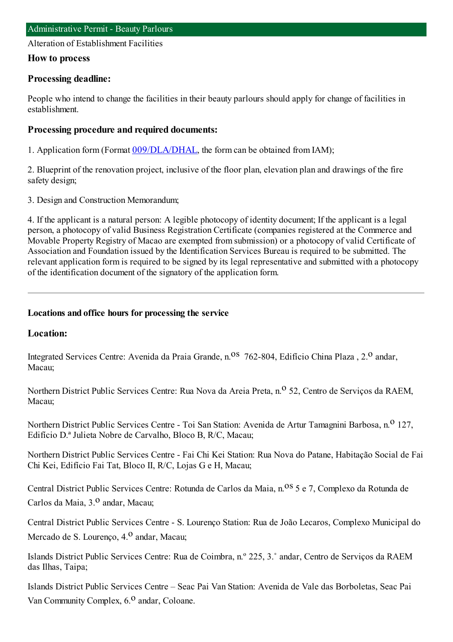Alteration of Establishment Facilities

## **How to process**

## **Processing deadline:**

People who intend to change the facilities in their beauty parlours should apply for change of facilities in establishment.

## **Processing procedure and required documents:**

1. Application form(Format [009/DLA/DHAL](https://www.iam.gov.mo/c/pdf/eformDetail/PDF363), the formcan be obtained fromIAM);

2. Blueprint of the renovation project, inclusive of the floor plan, elevation plan and drawings of the fire safety design;

3. Design and Construction Memorandum;

4. If the applicant is a natural person: A legible photocopy of identity document; If the applicant is a legal person, a photocopy of valid Business Registration Certificate (companies registered at the Commerce and Movable Property Registry of Macao are exempted fromsubmission) or a photocopy of valid Certificate of Association and Foundation issued by the Identification Services Bureau is required to be submitted. The relevant application formis required to be signed by its legal representative and submitted with a photocopy of the identification document of the signatory of the application form.

### **Locations and office hours for processing the service**

## **Location:**

Integrated Services Centre: Avenida da Praia Grande, n.<sup>08</sup> 762-804, Edifício China Plaza, 2.<sup>0</sup> andar, Macau;

Northern District Public Services Centre: Rua Nova da Areia Preta, n.º 52, Centro de Serviços da RAEM, Macau;

Northern District Public Services Centre - Toi San Station: Avenida de Artur Tamagnini Barbosa, n.<sup>0</sup> 127, Edifício D.ª Julieta Nobre de Carvalho, Bloco B, R/C, Macau;

Northern District Public Services Centre - Fai Chi Kei Station: Rua Nova do Patane, Habitação Social de Fai Chi Kei, Edifício Fai Tat, Bloco II, R/C, Lojas G e H, Macau;

Central District Public Services Centre: Rotunda de Carlos da Maia, n.<sup>08</sup> 5 e 7, Complexo da Rotunda de Carlos da Maia, 3.<sup>0</sup> andar, Macau;

Central District Public Services Centre - S. Lourenço Station: Rua de João Lecaros, Complexo Municipal do Mercado de S. Lourenço, 4.<sup>0</sup> andar, Macau;

Islands District Public Services Centre: Rua de Coimbra, n.º 225, 3.˚ andar, Centro de Serviços da RAEM das Ilhas, Taipa;

Islands District Public Services Centre – Seac Pai Van Station: Avenida de Vale das Borboletas, Seac Pai Van Community Complex,  $6<sup>0</sup>$  andar, Coloane.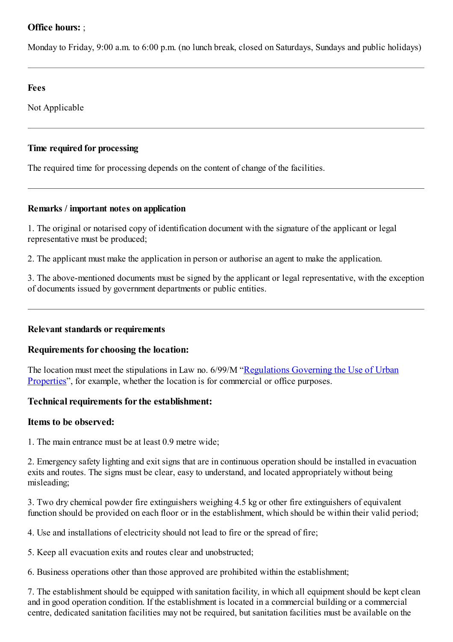# **Office hours:** ;

Monday to Friday, 9:00 a.m. to 6:00 p.m. (no lunch break, closed on Saturdays, Sundays and public holidays)

## **Fees**

Not Applicable

## **Time required for processing**

The required time for processing depends on the content of change of the facilities.

## **Remarks / important notes on application**

1. The original or notarised copy of identification document with the signature of the applicant or legal representative must be produced;

2. The applicant must make the application in person or authorise an agent to make the application.

3. The above-mentioned documents must be signed by the applicant or legal representative, with the exception of documents issued by government departments or public entities.

## **Relevant standards or requirements**

# **Requirements forchoosing the location:**

The location must meet the stipulations in Law no. 6/99/M "[Regulations](http://bo.io.gov.mo/bo/i/99/50/lei06_cn.asp) Governing the Use of Urban Properties", for example, whether the location is for commercial or office purposes.

## **Technical requirements for the establishment:**

## **Items to be observed:**

1. The main entrance must be at least 0.9 metre wide;

2. Emergency safety lighting and exit signs that are in continuous operation should be installed in evacuation exits and routes. The signs must be clear, easy to understand, and located appropriately without being misleading;

3. Two dry chemical powder fire extinguishers weighing 4.5 kg or other fire extinguishers of equivalent function should be provided on each floor or in the establishment, which should be within their valid period;

4. Use and installations of electricity should not lead to fire or the spread of fire;

5. Keep all evacuation exits and routes clear and unobstructed;

6. Business operations other than those approved are prohibited within the establishment;

7. The establishment should be equipped with sanitation facility, in which all equipment should be kept clean and in good operation condition. If the establishment is located in a commercial building or a commercial centre, dedicated sanitation facilities may not be required, but sanitation facilities must be available on the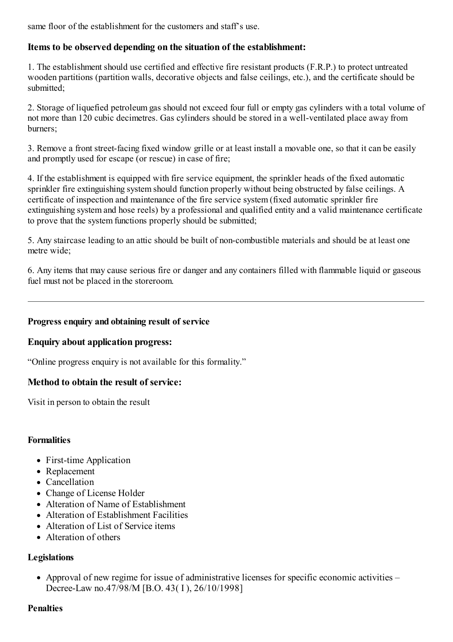same floor of the establishment for the customers and staff's use.

## **Items to be observed depending on the situation of the establishment:**

1. The establishment should use certified and effective fire resistant products (F.R.P.) to protect untreated wooden partitions (partition walls, decorative objects and false ceilings, etc.), and the certificate should be submitted;

2. Storage of liquefied petroleumgas should not exceed four full or empty gas cylinders with a total volume of not more than 120 cubic decimetres. Gas cylinders should be stored in a well-ventilated place away from burners;

3. Remove a front street-facing fixed window grille or at least install a movable one, so that it can be easily and promptly used for escape (or rescue) in case of fire;

4. If the establishment is equipped with fire service equipment, the sprinkler heads of the fixed automatic sprinkler fire extinguishing systemshould function properly without being obstructed by false ceilings. A certificate of inspection and maintenance of the fire service system(fixed automatic sprinkler fire extinguishing systemand hose reels) by a professional and qualified entity and a valid maintenance certificate to prove that the system functions properly should be submitted;

5. Any staircase leading to an attic should be built of non-combustible materials and should be at least one metre wide;

6. Any items that may cause serious fire or danger and any containers filled with flammable liquid or gaseous fuel must not be placed in the storeroom.

## **Progress enquiry and obtaining result of service**

### **Enquiry about application progress:**

"Online progress enquiry is not available for this formality."

## **Method to obtain the result of service:**

Visit in person to obtain the result

### **Formalities**

- First-time Application
- Replacement
- Cancellation
- Change of License Holder
- Alteration of Name of Establishment
- Alteration of Establishment Facilities
- Alteration of List of Service items
- Alteration of others

### **Legislations**

Approval of new regime for issue of administrative licenses for specific economic activities – Decree-Law no.47/98/M [B.O. 43( I ), 26/10/1998]

### **Penalties**